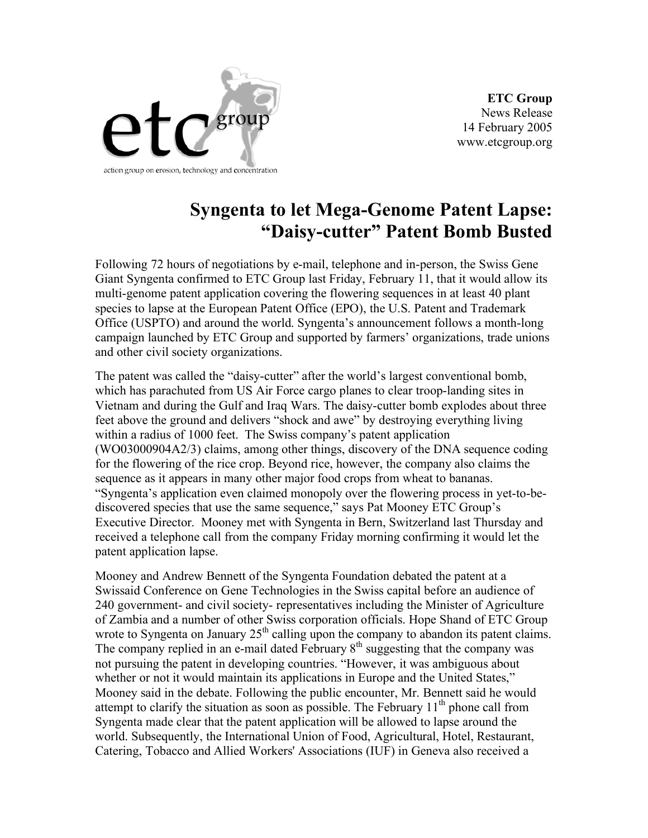

**ETC Group** News Release 14 February 2005 www.etcgroup.org

## **Syngenta to let Mega-Genome Patent Lapse: "Daisy-cutter" Patent Bomb Busted**

Following 72 hours of negotiations by e-mail, telephone and in-person, the Swiss Gene Giant Syngenta confirmed to ETC Group last Friday, February 11, that it would allow its multi-genome patent application covering the flowering sequences in at least 40 plant species to lapse at the European Patent Office (EPO), the U.S. Patent and Trademark Office (USPTO) and around the world. Syngenta's announcement follows a month-long campaign launched by ETC Group and supported by farmers' organizations, trade unions and other civil society organizations.

The patent was called the "daisy-cutter" after the world's largest conventional bomb, which has parachuted from US Air Force cargo planes to clear troop-landing sites in Vietnam and during the Gulf and Iraq Wars. The daisy-cutter bomb explodes about three feet above the ground and delivers "shock and awe" by destroying everything living within a radius of 1000 feet. The Swiss company's patent application (WO03000904A2/3) claims, among other things, discovery of the DNA sequence coding for the flowering of the rice crop. Beyond rice, however, the company also claims the sequence as it appears in many other major food crops from wheat to bananas. "Syngenta's application even claimed monopoly over the flowering process in yet-to-bediscovered species that use the same sequence," says Pat Mooney ETC Group's Executive Director. Mooney met with Syngenta in Bern, Switzerland last Thursday and received a telephone call from the company Friday morning confirming it would let the patent application lapse.

Mooney and Andrew Bennett of the Syngenta Foundation debated the patent at a Swissaid Conference on Gene Technologies in the Swiss capital before an audience of 240 government- and civil society- representatives including the Minister of Agriculture of Zambia and a number of other Swiss corporation officials. Hope Shand of ETC Group wrote to Syngenta on January  $25<sup>th</sup>$  calling upon the company to abandon its patent claims. The company replied in an e-mail dated February  $8<sup>th</sup>$  suggesting that the company was not pursuing the patent in developing countries. "However, it was ambiguous about whether or not it would maintain its applications in Europe and the United States," Mooney said in the debate. Following the public encounter, Mr. Bennett said he would attempt to clarify the situation as soon as possible. The February  $11<sup>th</sup>$  phone call from Syngenta made clear that the patent application will be allowed to lapse around the world. Subsequently, the International Union of Food, Agricultural, Hotel, Restaurant, Catering, Tobacco and Allied Workers' Associations (IUF) in Geneva also received a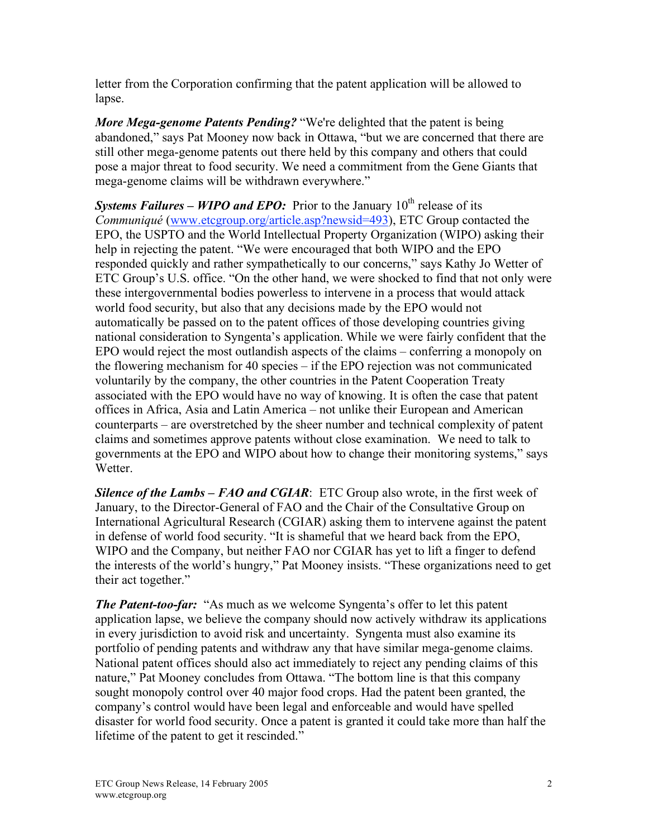letter from the Corporation confirming that the patent application will be allowed to lapse.

*More Mega-genome Patents Pending?* "We're delighted that the patent is being abandoned," says Pat Mooney now back in Ottawa, "but we are concerned that there are still other mega-genome patents out there held by this company and others that could pose a major threat to food security. We need a commitment from the Gene Giants that mega-genome claims will be withdrawn everywhere."

**Systems Failures – WIPO and EPO:** Prior to the January 10<sup>th</sup> release of its *Communiqué* (www.etcgroup.org/article.asp?newsid=493), ETC Group contacted the EPO, the USPTO and the World Intellectual Property Organization (WIPO) asking their help in rejecting the patent. "We were encouraged that both WIPO and the EPO responded quickly and rather sympathetically to our concerns," says Kathy Jo Wetter of ETC Group's U.S. office. "On the other hand, we were shocked to find that not only were these intergovernmental bodies powerless to intervene in a process that would attack world food security, but also that any decisions made by the EPO would not automatically be passed on to the patent offices of those developing countries giving national consideration to Syngenta's application. While we were fairly confident that the EPO would reject the most outlandish aspects of the claims – conferring a monopoly on the flowering mechanism for 40 species – if the EPO rejection was not communicated voluntarily by the company, the other countries in the Patent Cooperation Treaty associated with the EPO would have no way of knowing. It is often the case that patent offices in Africa, Asia and Latin America – not unlike their European and American counterparts – are overstretched by the sheer number and technical complexity of patent claims and sometimes approve patents without close examination. We need to talk to governments at the EPO and WIPO about how to change their monitoring systems," says Wetter.

*Silence of the Lambs – FAO and CGIAR*: ETC Group also wrote, in the first week of January, to the Director-General of FAO and the Chair of the Consultative Group on International Agricultural Research (CGIAR) asking them to intervene against the patent in defense of world food security. "It is shameful that we heard back from the EPO, WIPO and the Company, but neither FAO nor CGIAR has yet to lift a finger to defend the interests of the world's hungry," Pat Mooney insists. "These organizations need to get their act together."

*The Patent-too-far:* "As much as we welcome Syngenta's offer to let this patent application lapse, we believe the company should now actively withdraw its applications in every jurisdiction to avoid risk and uncertainty. Syngenta must also examine its portfolio of pending patents and withdraw any that have similar mega-genome claims. National patent offices should also act immediately to reject any pending claims of this nature," Pat Mooney concludes from Ottawa. "The bottom line is that this company sought monopoly control over 40 major food crops. Had the patent been granted, the company's control would have been legal and enforceable and would have spelled disaster for world food security. Once a patent is granted it could take more than half the lifetime of the patent to get it rescinded."